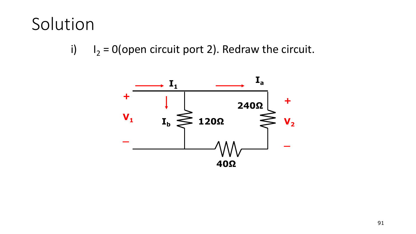## Solution

 $I_2 = 0$  (open circuit port 2). Redraw the circuit.  $\mathsf{i}$ 

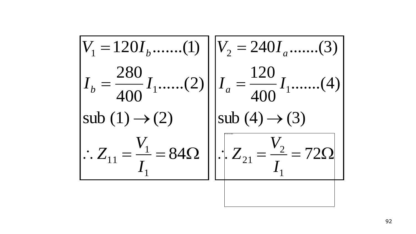$$
V_1 = 120I_b \dots (1)
$$
\n
$$
V_2 = 240I_a \dots (3)
$$
\n
$$
I_b = \frac{280}{400}I_1 \dots (2)
$$
\n
$$
I_a = \frac{120}{400}I_1 \dots (4)
$$
\n
$$
= \frac{120}{400}I_1 \dots (4)
$$
\n
$$
= \frac{120}{400}I_1 \dots (4)
$$
\n
$$
= \frac{120}{400}I_1 \dots (4)
$$
\n
$$
= \frac{120}{400}I_1 \dots (4)
$$
\n
$$
= \frac{120}{400}I_1 \dots (4)
$$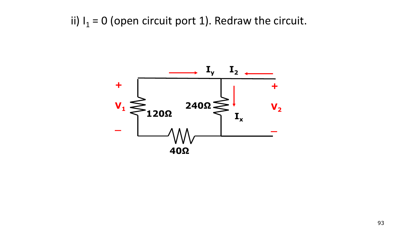ii)  $I_1 = 0$  (open circuit port 1). Redraw the circuit.

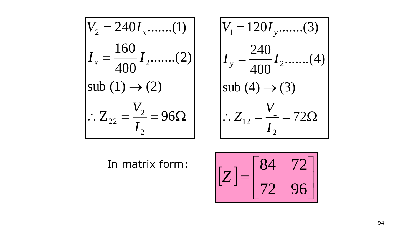$$
V_2 = 240I_x \dots (1)
$$
  
\n
$$
I_x = \frac{160}{400} I_2 \dots (2)
$$
  
\nsub (1) \rightarrow (2)  
\n
$$
\therefore Z_{22} = \frac{V_2}{I_2} = 96\Omega
$$

$$
V_1 = 120I_y \dots (3)
$$
  
\n
$$
I_y = \frac{240}{400} I_2 \dots (4)
$$
  
\nsub (4) \rightarrow (3)  
\n
$$
\therefore Z_{12} = \frac{V_1}{I_2} = 72 \Omega
$$

In matrix form:

$$
\begin{bmatrix} Z \end{bmatrix} = \begin{bmatrix} 84 & 72 \\ 72 & 96 \end{bmatrix}
$$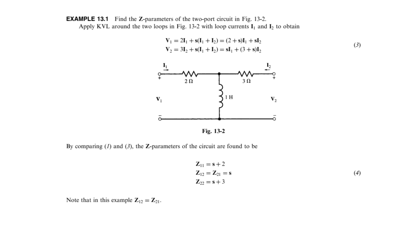**EXAMPLE 13.1** Find the Z-parameters of the two-port circuit in Fig. 13-2. Apply KVL around the two loops in Fig. 13-2 with loop currents  $I_1$  and  $I_2$  to obtain





By comparing  $(I)$  and  $(3)$ , the Z-parameters of the circuit are found to be

$$
Z_{11} = s + 2 \nZ_{12} = Z_{21} = s \nZ_{22} = s + 3
$$
\n(4)

Note that in this example  $Z_{12} = Z_{21}$ .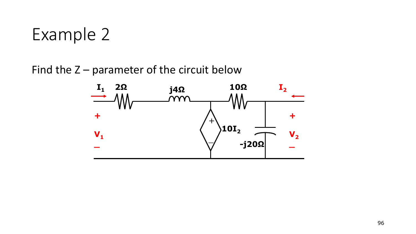## Example 2

Find the  $Z$  – parameter of the circuit below

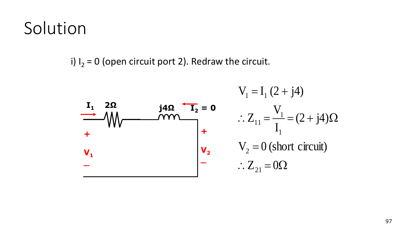## Solution

i)  $I_2 = 0$  (open circuit port 2). Redraw the circuit.



$$
V_1 = I_1 (2 + j4)
$$
  
\n
$$
\therefore Z_{11} = \frac{V_1}{I_1} = (2 + j4) \Omega
$$
  
\n
$$
V_2 = 0 \text{ (short circuit)}
$$
  
\n
$$
\therefore Z_{21} = 0 \Omega
$$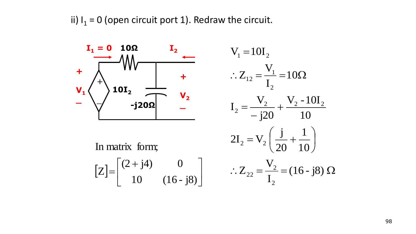ii)  $I_1 = 0$  (open circuit port 1). Redraw the circuit.

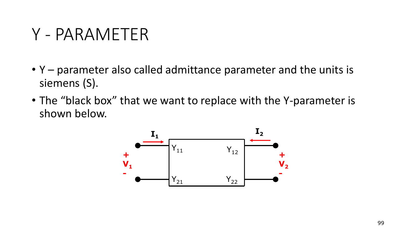## Y - PARAMETER

- Y parameter also called admittance parameter and the units is siemens (S).
- The "black box" that we want to replace with the Y-parameter is shown below.